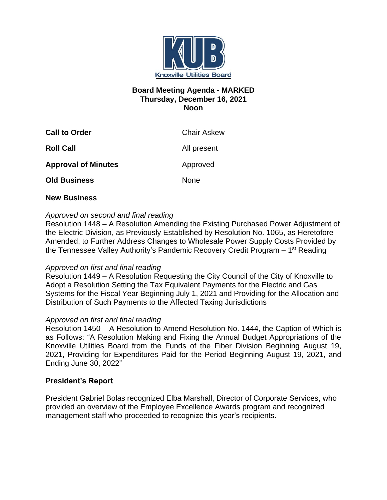

# **Board Meeting Agenda - MARKED Thursday, December 16, 2021 Noon**

| <b>Call to Order</b>       | <b>Chair Askew</b> |
|----------------------------|--------------------|
| <b>Roll Call</b>           | All present        |
| <b>Approval of Minutes</b> | Approved           |
| <b>Old Business</b>        | <b>None</b>        |

## **New Business**

## *Approved on second and final reading*

Resolution 1448 – A Resolution Amending the Existing Purchased Power Adjustment of the Electric Division, as Previously Established by Resolution No. 1065, as Heretofore Amended, to Further Address Changes to Wholesale Power Supply Costs Provided by the Tennessee Valley Authority's Pandemic Recovery Credit Program – 1<sup>st</sup> Reading

### *Approved on first and final reading*

Resolution 1449 – A Resolution Requesting the City Council of the City of Knoxville to Adopt a Resolution Setting the Tax Equivalent Payments for the Electric and Gas Systems for the Fiscal Year Beginning July 1, 2021 and Providing for the Allocation and Distribution of Such Payments to the Affected Taxing Jurisdictions

### *Approved on first and final reading*

Resolution 1450 – A Resolution to Amend Resolution No. 1444, the Caption of Which is as Follows: "A Resolution Making and Fixing the Annual Budget Appropriations of the Knoxville Utilities Board from the Funds of the Fiber Division Beginning August 19, 2021, Providing for Expenditures Paid for the Period Beginning August 19, 2021, and Ending June 30, 2022"

## **President's Report**

President Gabriel Bolas recognized Elba Marshall, Director of Corporate Services, who provided an overview of the Employee Excellence Awards program and recognized management staff who proceeded to recognize this year's recipients.